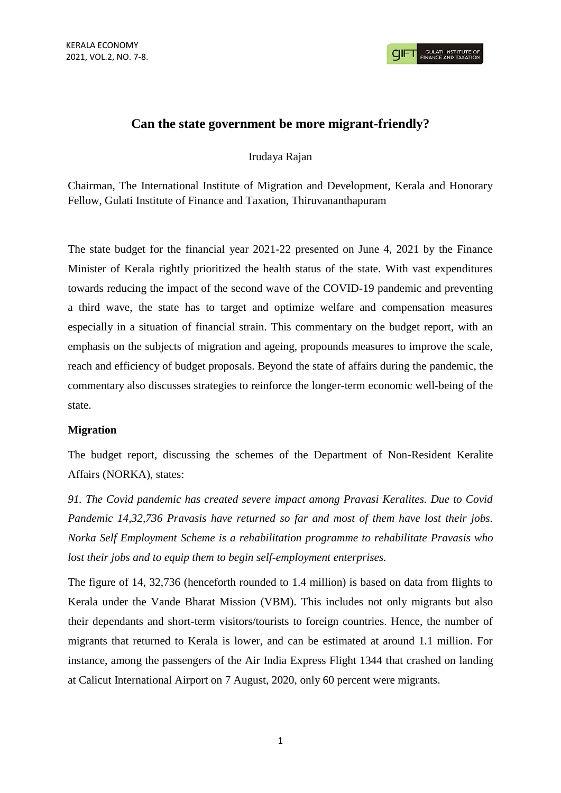**CIFT GULATI INSTITUTE O** 

# **Can the state government be more migrant-friendly?**

### Irudaya Rajan

Chairman, The International Institute of Migration and Development, Kerala and Honorary Fellow, Gulati Institute of Finance and Taxation, Thiruvananthapuram

The state budget for the financial year 2021-22 presented on June 4, 2021 by the Finance Minister of Kerala rightly prioritized the health status of the state. With vast expenditures towards reducing the impact of the second wave of the COVID-19 pandemic and preventing a third wave, the state has to target and optimize welfare and compensation measures especially in a situation of financial strain. This commentary on the budget report, with an emphasis on the subjects of migration and ageing, propounds measures to improve the scale, reach and efficiency of budget proposals. Beyond the state of affairs during the pandemic, the commentary also discusses strategies to reinforce the longer-term economic well-being of the state.

## **Migration**

The budget report, discussing the schemes of the Department of Non-Resident Keralite Affairs (NORKA), states:

*91. The Covid pandemic has created severe impact among Pravasi Keralites. Due to Covid Pandemic 14,32,736 Pravasis have returned so far and most of them have lost their jobs. Norka Self Employment Scheme is a rehabilitation programme to rehabilitate Pravasis who lost their jobs and to equip them to begin self-employment enterprises.*

The figure of 14, 32,736 (henceforth rounded to 1.4 million) is based on data from flights to Kerala under the Vande Bharat Mission (VBM). This includes not only migrants but also their dependants and short-term visitors/tourists to foreign countries. Hence, the number of migrants that returned to Kerala is lower, and can be estimated at around 1.1 million. For instance, among the passengers of the Air India Express Flight 1344 that crashed on landing at Calicut International Airport on 7 August, 2020, only 60 percent were migrants.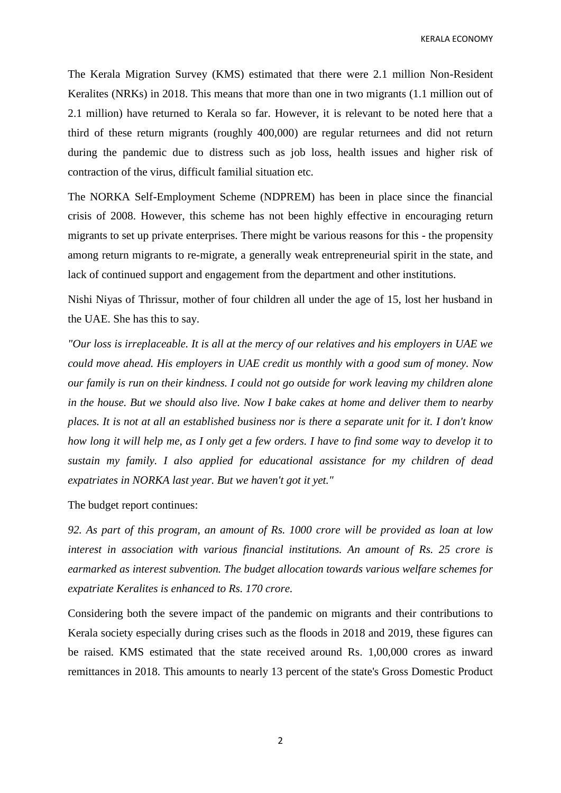KERALA ECONOMY

The Kerala Migration Survey (KMS) estimated that there were 2.1 million Non-Resident Keralites (NRKs) in 2018. This means that more than one in two migrants (1.1 million out of 2.1 million) have returned to Kerala so far. However, it is relevant to be noted here that a third of these return migrants (roughly 400,000) are regular returnees and did not return during the pandemic due to distress such as job loss, health issues and higher risk of contraction of the virus, difficult familial situation etc.

The NORKA Self-Employment Scheme (NDPREM) has been in place since the financial crisis of 2008. However, this scheme has not been highly effective in encouraging return migrants to set up private enterprises. There might be various reasons for this - the propensity among return migrants to re-migrate, a generally weak entrepreneurial spirit in the state, and lack of continued support and engagement from the department and other institutions.

Nishi Niyas of Thrissur, mother of four children all under the age of 15, lost her husband in the UAE. She has this to say.

*"Our loss is irreplaceable. It is all at the mercy of our relatives and his employers in UAE we could move ahead. His employers in UAE credit us monthly with a good sum of money. Now our family is run on their kindness. I could not go outside for work leaving my children alone in the house. But we should also live. Now I bake cakes at home and deliver them to nearby places. It is not at all an established business nor is there a separate unit for it. I don't know how long it will help me, as I only get a few orders. I have to find some way to develop it to sustain my family. I also applied for educational assistance for my children of dead expatriates in NORKA last year. But we haven't got it yet."*

The budget report continues:

*92. As part of this program, an amount of Rs. 1000 crore will be provided as loan at low interest in association with various financial institutions. An amount of Rs. 25 crore is earmarked as interest subvention. The budget allocation towards various welfare schemes for expatriate Keralites is enhanced to Rs. 170 crore.*

Considering both the severe impact of the pandemic on migrants and their contributions to Kerala society especially during crises such as the floods in 2018 and 2019, these figures can be raised. KMS estimated that the state received around Rs. 1,00,000 crores as inward remittances in 2018. This amounts to nearly 13 percent of the state's Gross Domestic Product

2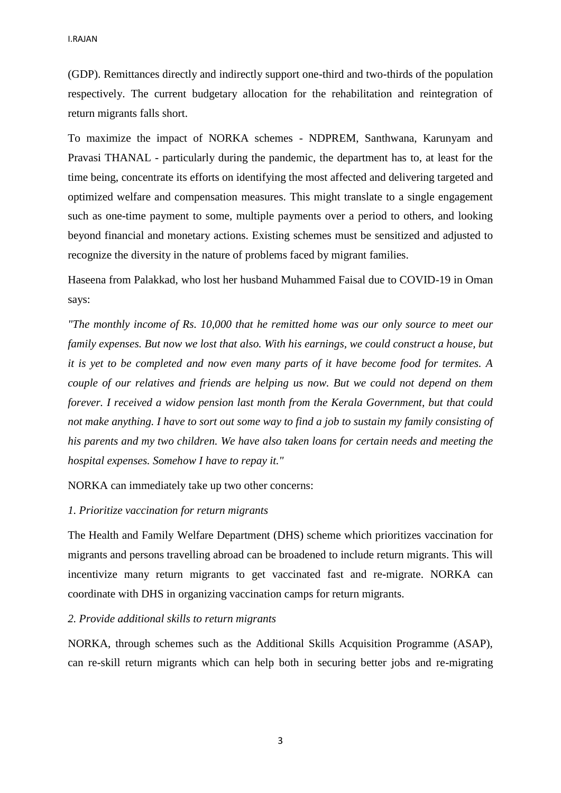(GDP). Remittances directly and indirectly support one-third and two-thirds of the population respectively. The current budgetary allocation for the rehabilitation and reintegration of return migrants falls short.

To maximize the impact of NORKA schemes - NDPREM, Santhwana, Karunyam and Pravasi THANAL - particularly during the pandemic, the department has to, at least for the time being, concentrate its efforts on identifying the most affected and delivering targeted and optimized welfare and compensation measures. This might translate to a single engagement such as one-time payment to some, multiple payments over a period to others, and looking beyond financial and monetary actions. Existing schemes must be sensitized and adjusted to recognize the diversity in the nature of problems faced by migrant families.

Haseena from Palakkad, who lost her husband Muhammed Faisal due to COVID-19 in Oman says:

*"The monthly income of Rs. 10,000 that he remitted home was our only source to meet our family expenses. But now we lost that also. With his earnings, we could construct a house, but it is yet to be completed and now even many parts of it have become food for termites. A couple of our relatives and friends are helping us now. But we could not depend on them forever. I received a widow pension last month from the Kerala Government, but that could not make anything. I have to sort out some way to find a job to sustain my family consisting of his parents and my two children. We have also taken loans for certain needs and meeting the hospital expenses. Somehow I have to repay it."* 

NORKA can immediately take up two other concerns:

#### *1. Prioritize vaccination for return migrants*

The Health and Family Welfare Department (DHS) scheme which prioritizes vaccination for migrants and persons travelling abroad can be broadened to include return migrants. This will incentivize many return migrants to get vaccinated fast and re-migrate. NORKA can coordinate with DHS in organizing vaccination camps for return migrants.

#### *2. Provide additional skills to return migrants*

NORKA, through schemes such as the Additional Skills Acquisition Programme (ASAP), can re-skill return migrants which can help both in securing better jobs and re-migrating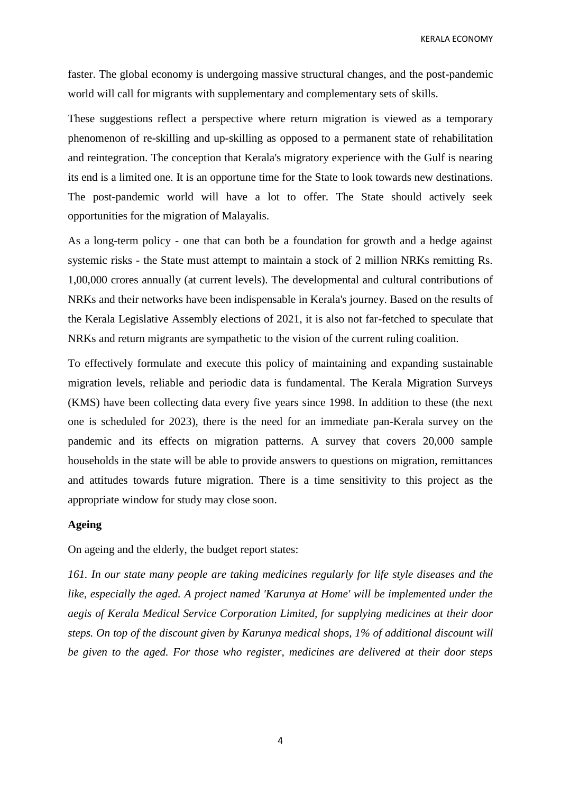KERALA ECONOMY

faster. The global economy is undergoing massive structural changes, and the post-pandemic world will call for migrants with supplementary and complementary sets of skills.

These suggestions reflect a perspective where return migration is viewed as a temporary phenomenon of re-skilling and up-skilling as opposed to a permanent state of rehabilitation and reintegration. The conception that Kerala's migratory experience with the Gulf is nearing its end is a limited one. It is an opportune time for the State to look towards new destinations. The post-pandemic world will have a lot to offer. The State should actively seek opportunities for the migration of Malayalis.

As a long-term policy - one that can both be a foundation for growth and a hedge against systemic risks - the State must attempt to maintain a stock of 2 million NRKs remitting Rs. 1,00,000 crores annually (at current levels). The developmental and cultural contributions of NRKs and their networks have been indispensable in Kerala's journey. Based on the results of the Kerala Legislative Assembly elections of 2021, it is also not far-fetched to speculate that NRKs and return migrants are sympathetic to the vision of the current ruling coalition.

To effectively formulate and execute this policy of maintaining and expanding sustainable migration levels, reliable and periodic data is fundamental. The Kerala Migration Surveys (KMS) have been collecting data every five years since 1998. In addition to these (the next one is scheduled for 2023), there is the need for an immediate pan-Kerala survey on the pandemic and its effects on migration patterns. A survey that covers 20,000 sample households in the state will be able to provide answers to questions on migration, remittances and attitudes towards future migration. There is a time sensitivity to this project as the appropriate window for study may close soon.

#### **Ageing**

On ageing and the elderly, the budget report states:

*161. In our state many people are taking medicines regularly for life style diseases and the like, especially the aged. A project named 'Karunya at Home' will be implemented under the aegis of Kerala Medical Service Corporation Limited, for supplying medicines at their door steps. On top of the discount given by Karunya medical shops, 1% of additional discount will be given to the aged. For those who register, medicines are delivered at their door steps* 

4